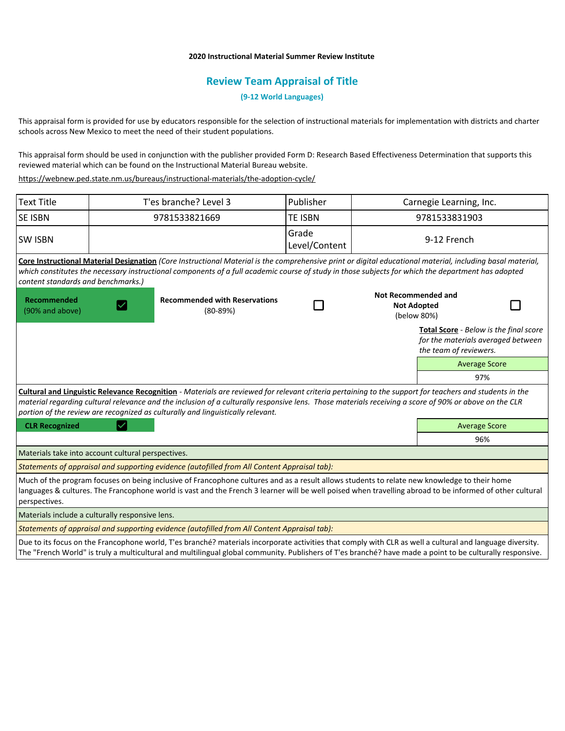## **2020 Instructional Material Summer Review Institute**

# **Review Team Appraisal of Title**

**(9-12 World Languages)**

This appraisal form is provided for use by educators responsible for the selection of instructional materials for implementation with districts and charter schools across New Mexico to meet the need of their student populations.

This appraisal form should be used in conjunction with the publisher provided Form D: Research Based Effectiveness Determination that supports this reviewed material which can be found on the Instructional Material Bureau website.

<https://webnew.ped.state.nm.us/bureaus/instructional-materials/the-adoption-cycle/>

| <b>Text Title</b>                                  | T'es branche? Level 3 |                                                                                                                                                                                                                                                                                                                                                                                                     | Publisher              | Carnegie Learning, Inc.                                         |                                                                                                        |                      |
|----------------------------------------------------|-----------------------|-----------------------------------------------------------------------------------------------------------------------------------------------------------------------------------------------------------------------------------------------------------------------------------------------------------------------------------------------------------------------------------------------------|------------------------|-----------------------------------------------------------------|--------------------------------------------------------------------------------------------------------|----------------------|
| <b>SE ISBN</b>                                     | 9781533821669         |                                                                                                                                                                                                                                                                                                                                                                                                     | te ISBN                |                                                                 | 9781533831903                                                                                          |                      |
| <b>SW ISBN</b>                                     |                       |                                                                                                                                                                                                                                                                                                                                                                                                     | Grade<br>Level/Content | 9-12 French                                                     |                                                                                                        |                      |
| content standards and benchmarks.)                 |                       | Core Instructional Material Designation (Core Instructional Material is the comprehensive print or digital educational material, including basal material,<br>which constitutes the necessary instructional components of a full academic course of study in those subjects for which the department has adopted                                                                                    |                        |                                                                 |                                                                                                        |                      |
| <b>Recommended</b><br>(90% and above)              |                       | <b>Recommended with Reservations</b><br>$(80-89%)$                                                                                                                                                                                                                                                                                                                                                  |                        | <b>Not Recommended and</b><br><b>Not Adopted</b><br>(below 80%) |                                                                                                        |                      |
|                                                    |                       |                                                                                                                                                                                                                                                                                                                                                                                                     |                        |                                                                 | Total Score - Below is the final score<br>for the materials averaged between<br>the team of reviewers. |                      |
|                                                    |                       |                                                                                                                                                                                                                                                                                                                                                                                                     |                        |                                                                 |                                                                                                        | <b>Average Score</b> |
|                                                    |                       |                                                                                                                                                                                                                                                                                                                                                                                                     |                        |                                                                 |                                                                                                        | 97%                  |
|                                                    |                       | Cultural and Linguistic Relevance Recognition - Materials are reviewed for relevant criteria pertaining to the support for teachers and students in the<br>material regarding cultural relevance and the inclusion of a culturally responsive lens. Those materials receiving a score of 90% or above on the CLR<br>portion of the review are recognized as culturally and linguistically relevant. |                        |                                                                 |                                                                                                        |                      |
| <b>CLR Recognized</b>                              |                       |                                                                                                                                                                                                                                                                                                                                                                                                     |                        |                                                                 | <b>Average Score</b>                                                                                   |                      |
|                                                    |                       |                                                                                                                                                                                                                                                                                                                                                                                                     |                        |                                                                 |                                                                                                        | 96%                  |
| Materials take into account cultural perspectives. |                       |                                                                                                                                                                                                                                                                                                                                                                                                     |                        |                                                                 |                                                                                                        |                      |
|                                                    |                       | Statements of appraisal and supporting evidence (autofilled from All Content Appraisal tab):                                                                                                                                                                                                                                                                                                        |                        |                                                                 |                                                                                                        |                      |
| perspectives.                                      |                       | Much of the program focuses on being inclusive of Francophone cultures and as a result allows students to relate new knowledge to their home<br>languages & cultures. The Francophone world is vast and the French 3 learner will be well poised when travelling abroad to be informed of other cultural                                                                                            |                        |                                                                 |                                                                                                        |                      |
| Materials include a culturally responsive lens.    |                       |                                                                                                                                                                                                                                                                                                                                                                                                     |                        |                                                                 |                                                                                                        |                      |
|                                                    |                       | Statements of appraisal and supporting evidence (autofilled from All Content Appraisal tab):                                                                                                                                                                                                                                                                                                        |                        |                                                                 |                                                                                                        |                      |
|                                                    |                       | Due to its focus on the Francophone world, T'es branché? materials incorporate activities that comply with CLR as well a cultural and language diversity.<br>The "French World" is truly a multicultural and multilingual global community. Publishers of T'es branché? have made a point to be culturally responsive.                                                                              |                        |                                                                 |                                                                                                        |                      |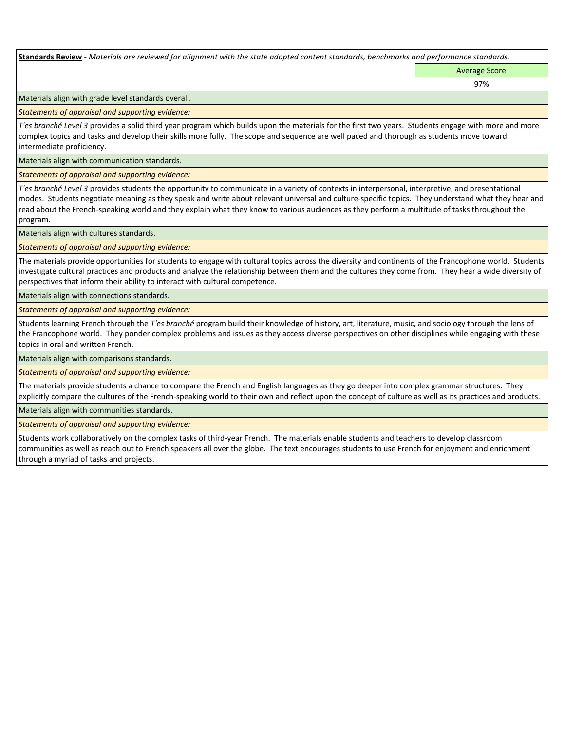**Standards Review** *- Materials are reviewed for alignment with the state adopted content standards, benchmarks and performance standards.*

Average Score 97%

Materials align with grade level standards overall.

*Statements of appraisal and supporting evidence:* 

*T'es branché Level 3* provides a solid third year program which builds upon the materials for the first two years. Students engage with more and more complex topics and tasks and develop their skills more fully. The scope and sequence are well paced and thorough as students move toward intermediate proficiency.

Materials align with communication standards.

*Statements of appraisal and supporting evidence:* 

*T'es branché Level 3* provides students the opportunity to communicate in a variety of contexts in interpersonal, interpretive, and presentational modes. Students negotiate meaning as they speak and write about relevant universal and culture-specific topics. They understand what they hear and read about the French-speaking world and they explain what they know to various audiences as they perform a multitude of tasks throughout the program.

Materials align with cultures standards.

*Statements of appraisal and supporting evidence:* 

The materials provide opportunities for students to engage with cultural topics across the diversity and continents of the Francophone world. Students investigate cultural practices and products and analyze the relationship between them and the cultures they come from. They hear a wide diversity of perspectives that inform their ability to interact with cultural competence.

Materials align with connections standards.

*Statements of appraisal and supporting evidence:* 

Students learning French through the *T'es branché* program build their knowledge of history, art, literature, music, and sociology through the lens of the Francophone world. They ponder complex problems and issues as they access diverse perspectives on other disciplines while engaging with these topics in oral and written French.

Materials align with comparisons standards.

*Statements of appraisal and supporting evidence:* 

The materials provide students a chance to compare the French and English languages as they go deeper into complex grammar structures. They explicitly compare the cultures of the French-speaking world to their own and reflect upon the concept of culture as well as its practices and products.

Materials align with communities standards.

*Statements of appraisal and supporting evidence:* 

Students work collaboratively on the complex tasks of third-year French. The materials enable students and teachers to develop classroom communities as well as reach out to French speakers all over the globe. The text encourages students to use French for enjoyment and enrichment through a myriad of tasks and projects.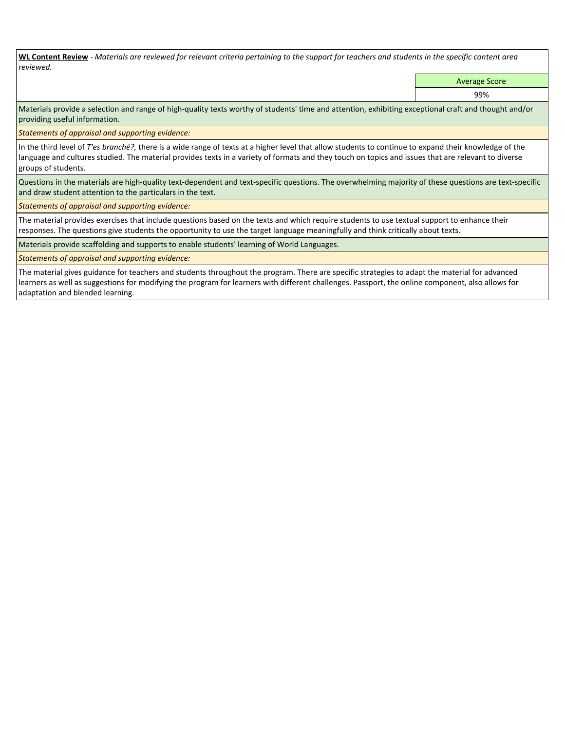**WL Content Review** *- Materials are reviewed for relevant criteria pertaining to the support for teachers and students in the specific content area reviewed.*

Average Score

99%

Materials provide a selection and range of high-quality texts worthy of students' time and attention, exhibiting exceptional craft and thought and/or providing useful information.

*Statements of appraisal and supporting evidence:* 

In the third level of *T'es branché?,* there is a wide range of texts at a higher level that allow students to continue to expand their knowledge of the language and cultures studied. The material provides texts in a variety of formats and they touch on topics and issues that are relevant to diverse groups of students.

Questions in the materials are high-quality text-dependent and text-specific questions. The overwhelming majority of these questions are text-specific and draw student attention to the particulars in the text.

*Statements of appraisal and supporting evidence:* 

The material provides exercises that include questions based on the texts and which require students to use textual support to enhance their responses. The questions give students the opportunity to use the target language meaningfully and think critically about texts.

Materials provide scaffolding and supports to enable students' learning of World Languages.

*Statements of appraisal and supporting evidence:* 

The material gives guidance for teachers and students throughout the program. There are specific strategies to adapt the material for advanced learners as well as suggestions for modifying the program for learners with different challenges. Passport, the online component, also allows for adaptation and blended learning.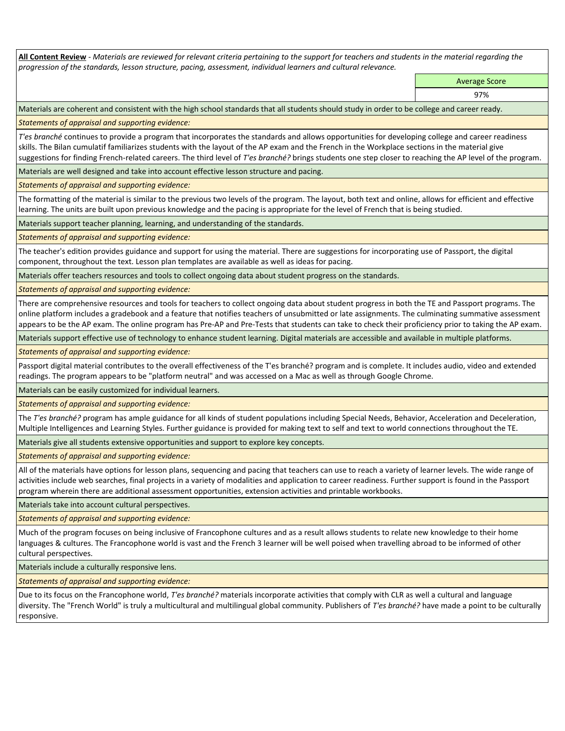**All Content Review** *- Materials are reviewed for relevant criteria pertaining to the support for teachers and students in the material regarding the progression of the standards, lesson structure, pacing, assessment, individual learners and cultural relevance.*

> Average Score 97%

Materials are coherent and consistent with the high school standards that all students should study in order to be college and career ready.

*Statements of appraisal and supporting evidence:*

*T'es branché* continues to provide a program that incorporates the standards and allows opportunities for developing college and career readiness skills. The Bilan cumulatif familiarizes students with the layout of the AP exam and the French in the Workplace sections in the material give suggestions for finding French-related careers. The third level of *T'es branché?* brings students one step closer to reaching the AP level of the program.

Materials are well designed and take into account effective lesson structure and pacing.

*Statements of appraisal and supporting evidence:*

The formatting of the material is similar to the previous two levels of the program. The layout, both text and online, allows for efficient and effective learning. The units are built upon previous knowledge and the pacing is appropriate for the level of French that is being studied.

Materials support teacher planning, learning, and understanding of the standards.

*Statements of appraisal and supporting evidence:*

The teacher's edition provides guidance and support for using the material. There are suggestions for incorporating use of Passport, the digital component, throughout the text. Lesson plan templates are available as well as ideas for pacing.

Materials offer teachers resources and tools to collect ongoing data about student progress on the standards.

*Statements of appraisal and supporting evidence:*

There are comprehensive resources and tools for teachers to collect ongoing data about student progress in both the TE and Passport programs. The online platform includes a gradebook and a feature that notifies teachers of unsubmitted or late assignments. The culminating summative assessment appears to be the AP exam. The online program has Pre-AP and Pre-Tests that students can take to check their proficiency prior to taking the AP exam.

Materials support effective use of technology to enhance student learning. Digital materials are accessible and available in multiple platforms.

*Statements of appraisal and supporting evidence:*

Passport digital material contributes to the overall effectiveness of the T'es branché? program and is complete. It includes audio, video and extended readings. The program appears to be "platform neutral" and was accessed on a Mac as well as through Google Chrome.

Materials can be easily customized for individual learners.

*Statements of appraisal and supporting evidence:* 

The *T'es branché?* program has ample guidance for all kinds of student populations including Special Needs, Behavior, Acceleration and Deceleration, Multiple Intelligences and Learning Styles. Further guidance is provided for making text to self and text to world connections throughout the TE.

Materials give all students extensive opportunities and support to explore key concepts.

*Statements of appraisal and supporting evidence:*

All of the materials have options for lesson plans, sequencing and pacing that teachers can use to reach a variety of learner levels. The wide range of activities include web searches, final projects in a variety of modalities and application to career readiness. Further support is found in the Passport program wherein there are additional assessment opportunities, extension activities and printable workbooks.

Materials take into account cultural perspectives.

*Statements of appraisal and supporting evidence:*

Much of the program focuses on being inclusive of Francophone cultures and as a result allows students to relate new knowledge to their home languages & cultures. The Francophone world is vast and the French 3 learner will be well poised when travelling abroad to be informed of other cultural perspectives.

Materials include a culturally responsive lens.

*Statements of appraisal and supporting evidence:*

Due to its focus on the Francophone world, *T'es branché?* materials incorporate activities that comply with CLR as well a cultural and language diversity. The "French World" is truly a multicultural and multilingual global community. Publishers of *T'es branché?* have made a point to be culturally responsive.